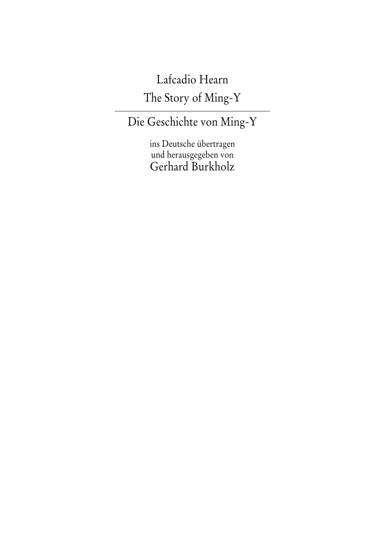## Lafcadio Hearn

The Story of Ming-Y

## Die Geschichte von Ming-Y

ins Deutsche übertragen und herausgegeben von Gerhard Burkholz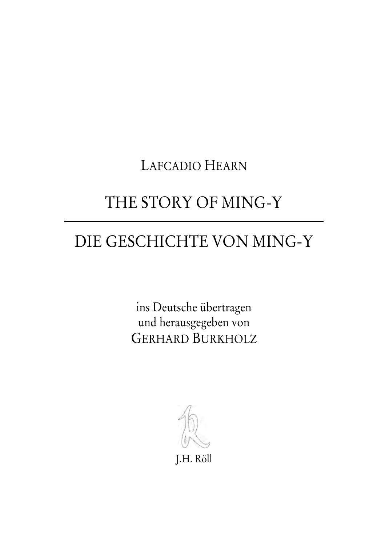LAFCADIO HEARN

## THE STORY OF MING-Y

## DIE GESCHICHTE VON MING-Y

ins Deutsche übertragen und herausgegeben von GERHARD BURKHOLZ

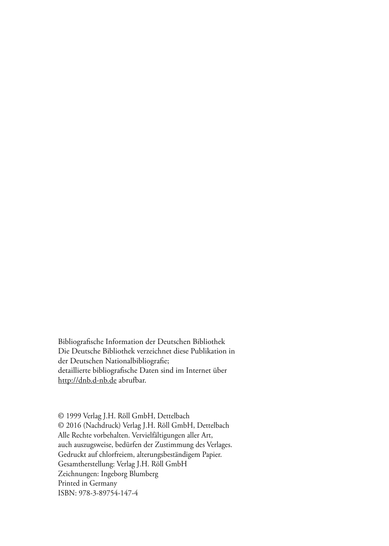Bibliografische Information der Deutschen Bibliothek Die Deutsche Bibliothek verzeichnet diese Publikation in der Deutschen Nationalbibliografie; detaillierte bibliografische Daten sind im Internet über http://dnb.d-nb.de abrufbar.

© 1999 Verlag J.H. Röll GmbH, Dettelbach © 2016 (Nachdruck) Verlag J.H. Röll GmbH, Dettelbach Alle Rechte vorbehalten. Vervielfältigungen aller Art, auch auszugsweise, bedürfen der Zustimmung des Verlages. Gedruckt auf chlorfreiem, alterungsbeständigem Papier. Gesamtherstellung: Verlag J.H. Röll GmbH Zeichnungen: Ingeborg Blumberg Printed in Germany ISBN: 978-3-89754-147-4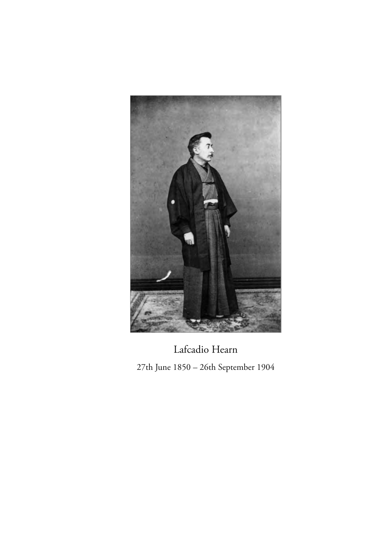

Lafcadio Hearn 27th June 1850 – 26th September 1904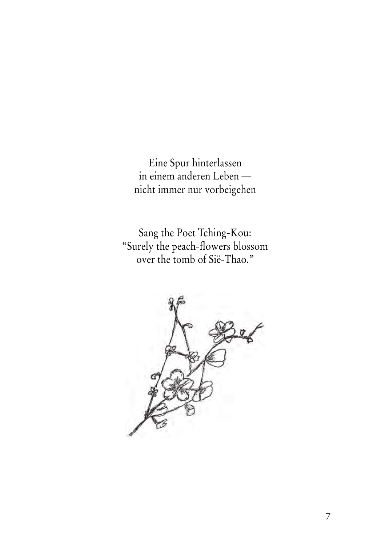Eine Spur hinterlassen in einem anderen Leben nicht immer nur vorbeigehen

Sang the Poet Tching-Kou: "Surely the peach-flowers blossom over the tomb of Sië-Thao."

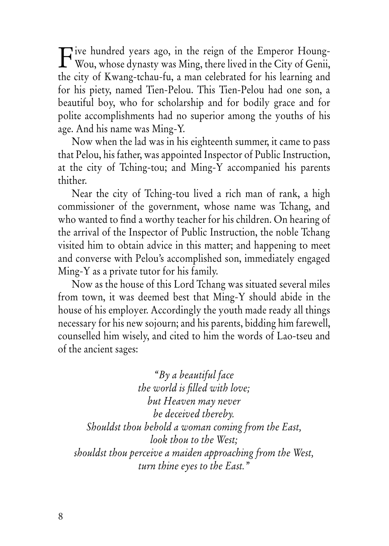Tive hundred years ago, in the reign of the Emperor Houng-<br>Wou, whose dynasty was Ming, there lived in the City of Genii, Wou, whose dynasty was Ming, there lived in the City of Genii, the city of Kwang-tchau-fu, a man celebrated for his learning and for his piety, named Tien-Pelou. This Tien-Pelou had one son, a beautiful boy, who for scholarship and for bodily grace and for polite accomplishments had no superior among the youths of his age. And his name was Ming-Y.

Now when the lad was in his eighteenth summer, it came to pass that Pelou, his father, was appointed Inspector of Public Instruction, at the city of Tching-tou; and Ming-Y accompanied his parents thither.

Near the city of Tching-tou lived a rich man of rank, a high commissioner of the government, whose name was Tchang, and who wanted to find a worthy teacher for his children. On hearing of the arrival of the Inspector of Public Instruction, the noble Tchang visited him to obtain advice in this matter; and happening to meet and converse with Pelou's accomplished son, immediately engaged Ming-Y as a private tutor for his family.

Now as the house of this Lord Tchang was situated several miles from town, it was deemed best that Ming-Y should abide in the house of his employer. Accordingly the youth made ready all things necessary for his new sojourn; and his parents, bidding him farewell, counselled him wisely, and cited to him the words of Lao-tseu and of the ancient sages:

*"By a beautiful face the world is filled with love; but Heaven may never be deceived thereby. Shouldst thou behold a woman coming from the East, look thou to the West; shouldst thou perceive a maiden approaching from the West, turn thine eyes to the East."*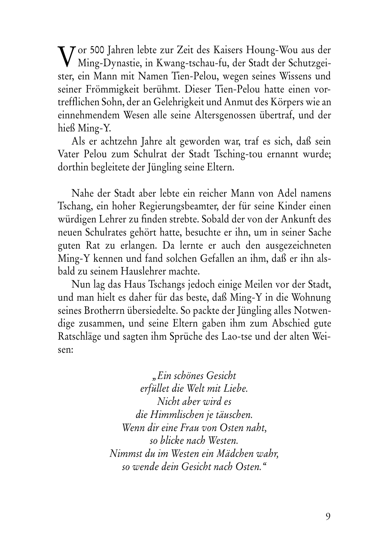Vor 500 Jahren lebte zur Zeit des Kaisers Houng-Wou aus der<br>Ming-Dynastie, in Kwang-tschau-fu, der Stadt der Schutzgei-Ming-Dynastie, in Kwang-tschau-fu, der Stadt der Schutzgeister, ein Mann mit Namen Tien-Pelou, wegen seines Wissens und seiner Frömmigkeit berühmt. Dieser Tien-Pelou hatte einen vortrefflichen Sohn, der an Gelehrigkeit und Anmut des Körpers wie an einnehmendem Wesen alle seine Altersgenossen übertraf, und der hieß Ming-Y.

Als er achtzehn Jahre alt geworden war, traf es sich, daß sein Vater Pelou zum Schulrat der Stadt Tsching-tou ernannt wurde; dorthin begleitete der Jüngling seine Eltern.

Nahe der Stadt aber lebte ein reicher Mann von Adel namens Tschang, ein hoher Regierungsbeamter, der für seine Kinder einen würdigen Lehrer zu finden strebte. Sobald der von der Ankunft des neuen Schulrates gehört hatte, besuchte er ihn, um in seiner Sache guten Rat zu erlangen. Da lernte er auch den ausgezeichneten Ming-Y kennen und fand solchen Gefallen an ihm, daß er ihn alsbald zu seinem Hauslehrer machte.

Nun lag das Haus Tschangs jedoch einige Meilen vor der Stadt, und man hielt es daher für das beste, daß Ming-Y in die Wohnung seines Brotherrn übersiedelte. So packte der Jüngling alles Notwendige zusammen, und seine Eltern gaben ihm zum Abschied gute Ratschläge und sagten ihm Sprüche des Lao-tse und der alten Weisen:

> *"Ein schönes Gesicht erfüllet die Welt mit Liebe. Nicht aber wird es die Himmlischen je täuschen. Wenn dir eine Frau von Osten naht, so blicke nach Westen. Nimmst du im Westen ein Mädchen wahr, so wende dein Gesicht nach Osten."*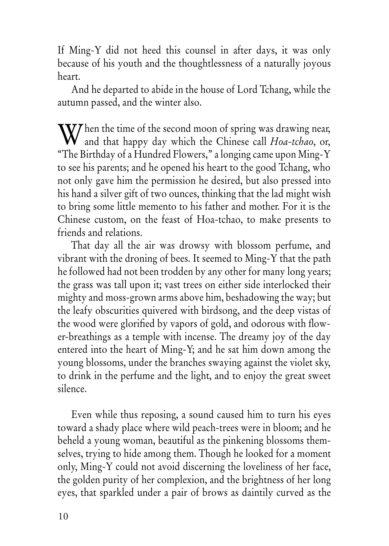If Ming-Y did not heed this counsel in after days, it was only because of his youth and the thoughtlessness of a naturally joyous heart.

And he departed to abide in the house of Lord Tchang, while the autumn passed, and the winter also.

hen the time of the second moon of spring was drawing near, When the time of the second moon of spring was drawing near,<br>and that happy day which the Chinese call *Hoa-tchao*, or, "The Birthday of a Hundred Flowers," a longing came upon Ming-Y to see his parents; and he opened his heart to the good Tchang, who not only gave him the permission he desired, but also pressed into his hand a silver gift of two ounces, thinking that the lad might wish to bring some little memento to his father and mother. For it is the Chinese custom, on the feast of Hoa-tchao, to make presents to friends and relations.

That day all the air was drowsy with blossom perfume, and vibrant with the droning of bees. It seemed to Ming-Y that the path he followed had not been trodden by any other for many long years; the grass was tall upon it; vast trees on either side interlocked their mighty and moss-grown arms above him, beshadowing the way; but the leafy obscurities quivered with birdsong, and the deep vistas of the wood were glorified by vapors of gold, and odorous with flower-breathings as a temple with incense. The dreamy joy of the day entered into the heart of Ming-Y; and he sat him down among the young blossoms, under the branches swaying against the violet sky, to drink in the perfume and the light, and to enjoy the great sweet silence.

Even while thus reposing, a sound caused him to turn his eyes toward a shady place where wild peach-trees were in bloom; and he beheld a young woman, beautiful as the pinkening blossoms themselves, trying to hide among them. Though he looked for a moment only, Ming-Y could not avoid discerning the loveliness of her face, the golden purity of her complexion, and the brightness of her long eyes, that sparkled under a pair of brows as daintily curved as the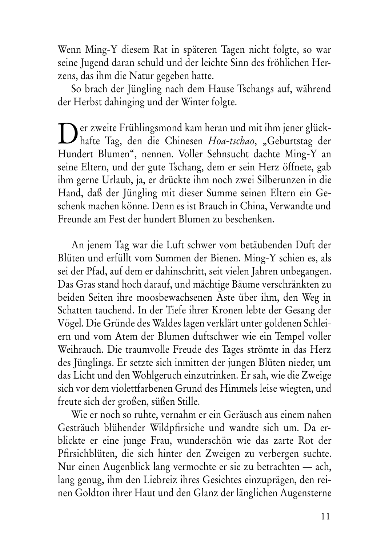Wenn Ming-Y diesem Rat in späteren Tagen nicht folgte, so war seine Jugend daran schuld und der leichte Sinn des fröhlichen Herzens, das ihm die Natur gegeben hatte.

So brach der Jüngling nach dem Hause Tschangs auf, während der Herbst dahinging und der Winter folgte.

Der zweite Frühlingsmond kam heran und mit ihm jener glück-<br>hafte Tag, den die Chinesen *Hoa-tschao*, "Geburtstag der hafte Tag, den die Chinesen *Hoa-tschao*, "Geburtstag der Hundert Blumen", nennen. Voller Sehnsucht dachte Ming-Y an seine Eltern, und der gute Tschang, dem er sein Herz öffnete, gab ihm gerne Urlaub, ja, er drückte ihm noch zwei Silberunzen in die Hand, daß der Jüngling mit dieser Summe seinen Eltern ein Geschenk machen könne. Denn es ist Brauch in China, Verwandte und Freunde am Fest der hundert Blumen zu beschenken.

An jenem Tag war die Luft schwer vom betäubenden Duft der Blüten und erfüllt vom Summen der Bienen. Ming-Y schien es, als sei der Pfad, auf dem er dahinschritt, seit vielen Jahren unbegangen. Das Gras stand hoch darauf, und mächtige Bäume verschränkten zu beiden Seiten ihre moosbewachsenen Äste über ihm, den Weg in Schatten tauchend. In der Tiefe ihrer Kronen lebte der Gesang der Vögel. Die Gründe des Waldes lagen verklärt unter goldenen Schleiern und vom Atem der Blumen duftschwer wie ein Tempel voller Weihrauch. Die traumvolle Freude des Tages strömte in das Herz des Jünglings. Er setzte sich inmitten der jungen Blüten nieder, um das Licht und den Wohlgeruch einzutrinken. Er sah, wie die Zweige sich vor dem violettfarbenen Grund des Himmels leise wiegten, und freute sich der großen, süßen Stille.

Wie er noch so ruhte, vernahm er ein Geräusch aus einem nahen Gesträuch blühender Wildpfirsiche und wandte sich um. Da erblickte er eine junge Frau, wunderschön wie das zarte Rot der Pfirsichblüten, die sich hinter den Zweigen zu verbergen suchte. Nur einen Augenblick lang vermochte er sie zu betrachten — ach, lang genug, ihm den Liebreiz ihres Gesichtes einzuprägen, den reinen Goldton ihrer Haut und den Glanz der länglichen Augensterne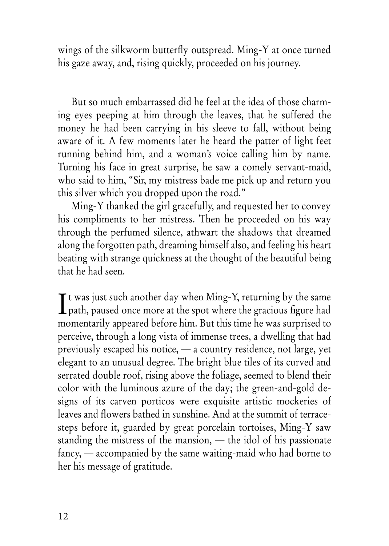wings of the silkworm butterfly outspread. Ming-Y at once turned his gaze away, and, rising quickly, proceeded on his journey.

But so much embarrassed did he feel at the idea of those charming eyes peeping at him through the leaves, that he suffered the money he had been carrying in his sleeve to fall, without being aware of it. A few moments later he heard the patter of light feet running behind him, and a woman's voice calling him by name. Turning his face in great surprise, he saw a comely servant-maid, who said to him, "Sir, my mistress bade me pick up and return you this silver which you dropped upon the road."

Ming-Y thanked the girl gracefully, and requested her to convey his compliments to her mistress. Then he proceeded on his way through the perfumed silence, athwart the shadows that dreamed along the forgotten path, dreaming himself also, and feeling his heart beating with strange quickness at the thought of the beautiful being that he had seen.

 $\mathbf{T}$  t was just such another day when Ming-Y, returning by the same  $\int$ t was just such another day when Ming-Y, returning by the same<br>path, paused once more at the spot where the gracious figure had momentarily appeared before him. But this time he was surprised to perceive, through a long vista of immense trees, a dwelling that had previously escaped his notice, — a country residence, not large, yet elegant to an unusual degree. The bright blue tiles of its curved and serrated double roof, rising above the foliage, seemed to blend their color with the luminous azure of the day; the green-and-gold designs of its carven porticos were exquisite artistic mockeries of leaves and flowers bathed in sunshine. And at the summit of terracesteps before it, guarded by great porcelain tortoises, Ming-Y saw standing the mistress of the mansion, — the idol of his passionate fancy, — accompanied by the same waiting-maid who had borne to her his message of gratitude.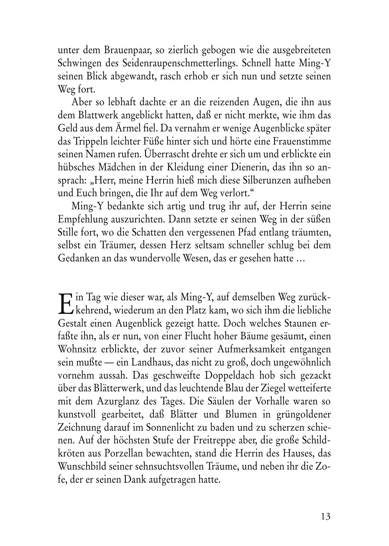unter dem Brauenpaar, so zierlich gebogen wie die ausgebreiteten Schwingen des Seidenraupenschmetterlings. Schnell hatte Ming-Y seinen Blick abgewandt, rasch erhob er sich nun und setzte seinen Weg fort.

Aber so lebhaft dachte er an die reizenden Augen, die ihn aus dem Blattwerk angeblickt hatten, daß er nicht merkte, wie ihm das Geld aus dem Ärmel fiel. Da vernahm er wenige Augenblicke später das Trippeln leichter Füße hinter sich und hörte eine Frauenstimme seinen Namen rufen. Überrascht drehte er sich um und erblickte ein hübsches Mädchen in der Kleidung einer Dienerin, das ihn so ansprach: "Herr, meine Herrin hieß mich diese Silberunzen aufheben und Euch bringen, die Ihr auf dem Weg verlort."

Ming-Y bedankte sich artig und trug ihr auf, der Herrin seine Empfehlung auszurichten. Dann setzte er seinen Weg in der süßen Stille fort, wo die Schatten den vergessenen Pfad entlang träumten, selbst ein Träumer, dessen Herz seltsam schneller schlug bei dem Gedanken an das wundervolle Wesen, das er gesehen hatte …

in Tag wie dieser war, als Ming-Y, auf demselben Weg zurück-E in Tag wie dieser war, als Ming-Y, auf demselben Weg zurück-<br>Ekehrend, wiederum an den Platz kam, wo sich ihm die liebliche Gestalt einen Augenblick gezeigt hatte. Doch welches Staunen erfaßte ihn, als er nun, von einer Flucht hoher Bäume gesäumt, einen Wohnsitz erblickte, der zuvor seiner Aufmerksamkeit entgangen sein mußte — ein Landhaus, das nicht zu groß, doch ungewöhnlich vornehm aussah. Das geschweifte Doppeldach hob sich gezackt über das Blätterwerk, und das leuchtende Blau der Ziegel wetteiferte mit dem Azurglanz des Tages. Die Säulen der Vorhalle waren so kunstvoll gearbeitet, daß Blätter und Blumen in grüngoldener Zeichnung darauf im Sonnenlicht zu baden und zu scherzen schienen. Auf der höchsten Stufe der Freitreppe aber, die große Schildkröten aus Porzellan bewachten, stand die Herrin des Hauses, das Wunschbild seiner sehnsuchtsvollen Träume, und neben ihr die Zofe, der er seinen Dank aufgetragen hatte.